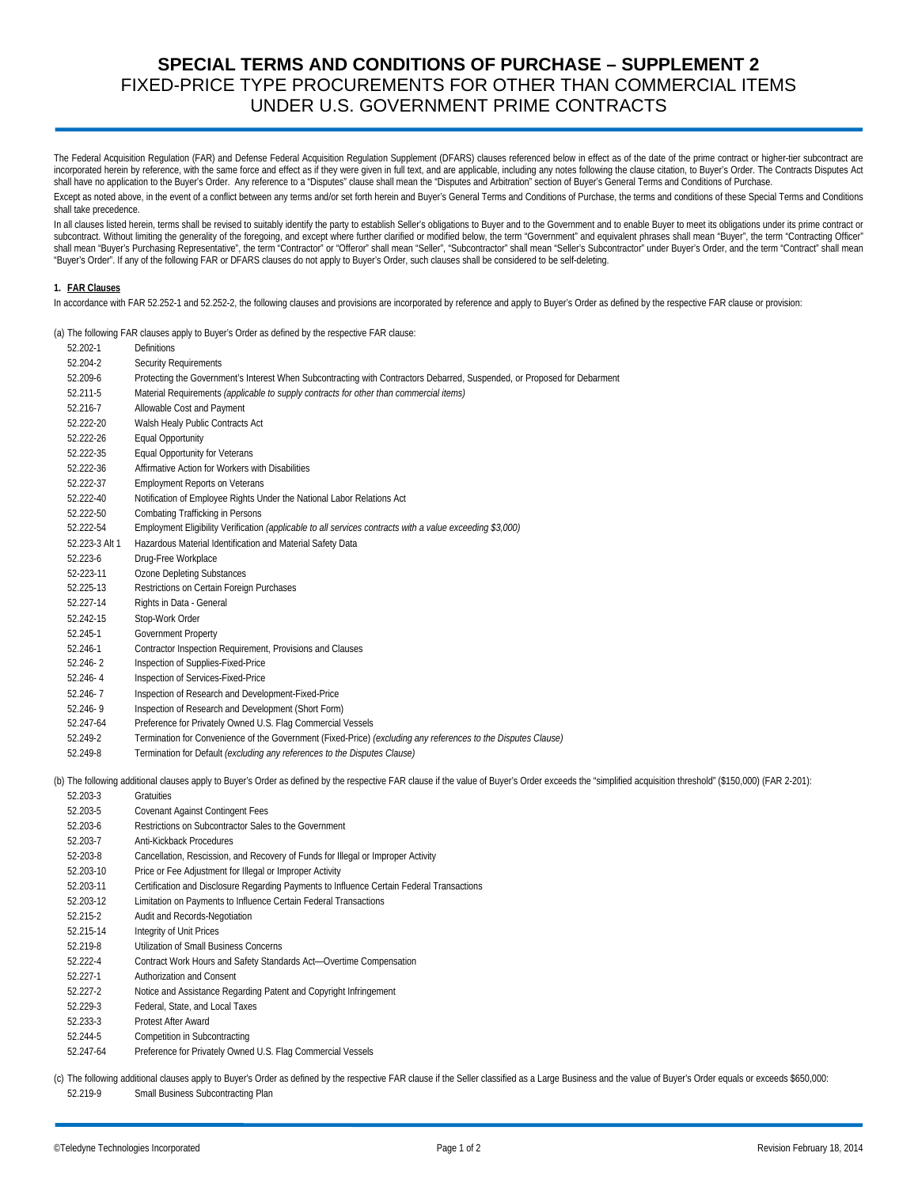# **SPECIAL TERMS AND CONDITIONS OF PURCHASE – SUPPLEMENT 2**  FIXED-PRICE TYPE PROCUREMENTS FOR OTHER THAN COMMERCIAL ITEMS UNDER U.S. GOVERNMENT PRIME CONTRACTS

The Federal Acquisition Regulation (FAR) and Defense Federal Acquisition Regulation Supplement (DFARS) clauses referenced below in effect as of the date of the prime contract or higher-tier subcontract are incorporated herein by reference, with the same force and effect as if they were given in full text, and are applicable, including any notes following the clause citation, to Buyer's Order. The Contracts Disputes Act shall have no application to the Buyer's Order. Any reference to a "Disputes" clause shall mean the "Disputes and Arbitration" section of Buyer's General Terms and Conditions of Purchase.

Except as noted above, in the event of a conflict between any terms and/or set forth herein and Buyer's General Terms and Conditions of Purchase, the terms and conditions of these Special Terms and Conditions shall take precedence.

In all clauses listed herein, terms shall be revised to suitably identify the party to establish Seller's obligations to Buyer and to the Government and to enable Buyer to meet its obligations under its prime contract or subcontract. Without limiting the generality of the foregoing, and except where further clarified or modified below, the term "Government" and equivalent phrases shall mean "Buyer", the term "Contracting Officer" shall mean "Buyer's Purchasing Representative", the term "Contractor" or "Offeror" shall mean "Seller", "Subcontractor" shall mean "Seller's Subcontractor" under Buyer's Order, and the term "Contract' shall mean "Buyer's Order". If any of the following FAR or DFARS clauses do not apply to Buyer's Order, such clauses shall be considered to be self-deleting.

## **1. FAR Clauses**

In accordance with FAR 52.252-1 and 52.252-2, the following clauses and provisions are incorporated by reference and apply to Buyer's Order as defined by the respective FAR clause or provision:

(a) The following FAR clauses apply to Buyer's Order as defined by the respective FAR clause:

|                | (a) The following Fritt clauses apply to buyer's order as aemiculby the respective Fritt clause.                                                           |
|----------------|------------------------------------------------------------------------------------------------------------------------------------------------------------|
| 52.202-1       | <b>Definitions</b>                                                                                                                                         |
| 52.204-2       | Security Requirements                                                                                                                                      |
| 52.209-6       | Protecting the Government's Interest When Subcontracting with Contractors Debarred, Suspended, or Proposed for Debarment                                   |
| 52.211-5       | Material Requirements (applicable to supply contracts for other than commercial items)                                                                     |
| 52.216-7       | Allowable Cost and Payment                                                                                                                                 |
| 52.222-20      | Walsh Healy Public Contracts Act                                                                                                                           |
| 52.222-26      | <b>Equal Opportunity</b>                                                                                                                                   |
| 52.222-35      | Equal Opportunity for Veterans                                                                                                                             |
| 52.222-36      | Affirmative Action for Workers with Disabilities                                                                                                           |
| 52.222-37      | <b>Employment Reports on Veterans</b>                                                                                                                      |
| 52.222-40      | Notification of Employee Rights Under the National Labor Relations Act                                                                                     |
| 52.222-50      | Combating Trafficking in Persons                                                                                                                           |
| 52.222-54      | Employment Eligibility Verification (applicable to all services contracts with a value exceeding \$3,000)                                                  |
| 52.223-3 Alt 1 | Hazardous Material Identification and Material Safety Data                                                                                                 |
| 52.223-6       | Drug-Free Workplace                                                                                                                                        |
| 52-223-11      | Ozone Depleting Substances                                                                                                                                 |
| 52.225-13      | Restrictions on Certain Foreign Purchases                                                                                                                  |
| 52.227-14      | Rights in Data - General                                                                                                                                   |
| 52.242-15      | Stop-Work Order                                                                                                                                            |
| 52.245-1       | Government Property                                                                                                                                        |
| 52.246-1       | Contractor Inspection Requirement, Provisions and Clauses                                                                                                  |
| 52.246-2       | Inspection of Supplies-Fixed-Price                                                                                                                         |
| 52.246-4       | Inspection of Services-Fixed-Price                                                                                                                         |
| 52.246-7       | Inspection of Research and Development-Fixed-Price                                                                                                         |
| 52.246-9       | Inspection of Research and Development (Short Form)                                                                                                        |
| 52.247-64      | Preference for Privately Owned U.S. Flag Commercial Vessels                                                                                                |
| 52.249-2       | Termination for Convenience of the Government (Fixed-Price) (excluding any references to the Disputes Clause)                                              |
| 52.249-8       | Termination for Default (excluding any references to the Disputes Clause)                                                                                  |
|                | (b) The following additional clauses apply to Buyer's Order as defined by the respective FAR clause if the value of Buyer's Order exceeds the "simplified" |
| 52.203-3       | Gratuities                                                                                                                                                 |
| 52.203-5       | <b>Covenant Against Contingent Fees</b>                                                                                                                    |
| 52.203-6       | Restrictions on Subcontractor Sales to the Government                                                                                                      |
|                |                                                                                                                                                            |

- 52.203-7 Anti-Kickback Procedures
- 52-203-8 Cancellation, Rescission, and Recovery of Funds for Illegal or Improper Activity
- 52.203-10 Price or Fee Adjustment for Illegal or Improper Activity
- 52.203-11 Certification and Disclosure Regarding Payments to Influence Certain Federal Transactions
- 52.203-12 Limitation on Payments to Influence Certain Federal Transactions
- 52.215-2 Audit and Records-Negotiation
- 52.215-14 Integrity of Unit Prices
- 52.219-8 Utilization of Small Business Concerns
- 52.222-4 Contract Work Hours and Safety Standards Act—Overtime Compensation
- 52.227-1 Authorization and Consent
- 52.227-2 Notice and Assistance Regarding Patent and Copyright Infringement
- 52.229-3 Federal, State, and Local Taxes
- 52.233-3 Protest After Award
- 52.244-5 Competition in Subcontracting
- 52.247-64 Preference for Privately Owned U.S. Flag Commercial Vessels

(c) The following additional clauses apply to Buyer's Order as defined by the respective FAR clause if the Seller classified as a Large Business and the value of Buyer's Order equals or exceeds \$650,000: 52.219-9 Small Business Subcontracting Plan

acquisition threshold" (\$150,000) (FAR 2-201):